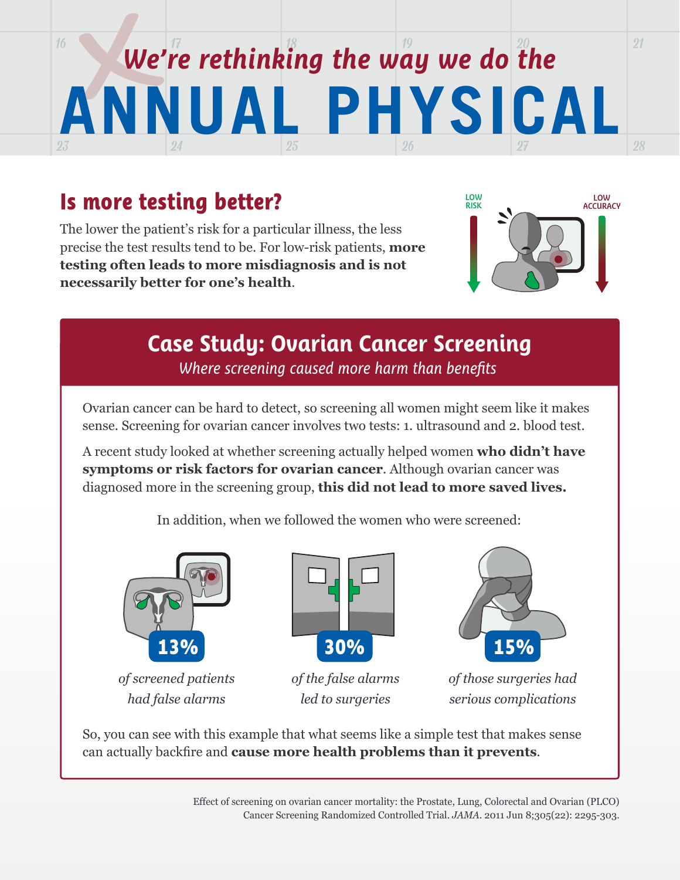## $16$  16  $\frac{1}{7}$  17  $\frac{1}{8}$  18  $\frac{1}{8}$  19  $\frac{1}{9}$  19  $\boxed{23}$   $\boxed{24}$   $\boxed{25}$   $\boxed{26}$ 27 **ANNUAL PHYSICAL** *We're rethinking the way we do the*

# **Is more testing better? LOW AND ADDRESS AND ADDRESS RISK**

The lower the patient's risk for a particular illness, the less precise the test results tend to be. For low-risk patients, **more testing often leads to more misdiagnosis and is not necessarily better for one's health**.



28

21

# **Case Study: Ovarian Cancer Screening**

*Where screening caused more harm than benefits*

Ovarian cancer can be hard to detect, so screening all women might seem like it makes sense. Screening for ovarian cancer involves two tests: 1. ultrasound and 2. blood test.

A recent study looked at whether screening actually helped women **who didn't have symptoms or risk factors for ovarian cancer**. Although ovarian cancer was diagnosed more in the screening group, **this did not lead to more saved lives.**

In addition, when we followed the women who were screened:



*of screened patients had false alarms*



*of the false alarms led to surgeries*



*of those surgeries had serious complications*

So, you can see with this example that what seems like a simple test that makes sense can actually backfire and **cause more health problems than it prevents**.

> Effect of screening on ovarian cancer mortality: the Prostate, Lung, Colorectal and Ovarian (PLCO) Cancer Screening Randomized Controlled Trial. *JAMA*. 2011 Jun 8;305(22): 2295-303.